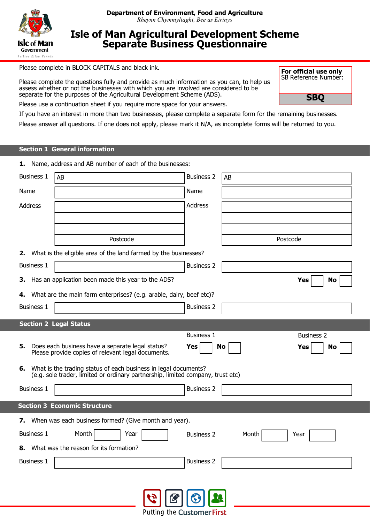

# **Isle of Man Agricultural Development Scheme Separate Business Questionnaire**

Please complete in BLOCK CAPITALS and black ink.

Please complete the questions fully and provide as much information as you can, to help us assess whether or not the businesses with which you are involved are considered to be separate for the purposes of the Agricultural Development Scheme (ADS).

**For official use only** SB Reference Number:

**SBQ**

Please use a continuation sheet if you require more space for your answers.

If you have an interest in more than two businesses, please complete a separate form for the remaining businesses.

Please answer all questions. If one does not apply, please mark it N/A, as incomplete forms will be returned to you.

## **Section 1 General information**

|                   | 1. Name, address and AB number of each of the businesses:                                                                                             |                   |          |                   |
|-------------------|-------------------------------------------------------------------------------------------------------------------------------------------------------|-------------------|----------|-------------------|
| <b>Business 1</b> | AB                                                                                                                                                    | <b>Business 2</b> | AB       |                   |
| Name              |                                                                                                                                                       | Name              |          |                   |
| Address           |                                                                                                                                                       | Address           |          |                   |
|                   |                                                                                                                                                       |                   |          |                   |
|                   | Postcode                                                                                                                                              |                   |          |                   |
|                   |                                                                                                                                                       |                   | Postcode |                   |
|                   | 2. What is the eligible area of the land farmed by the businesses?                                                                                    |                   |          |                   |
| <b>Business 1</b> |                                                                                                                                                       | <b>Business 2</b> |          |                   |
| З.                | Has an application been made this year to the ADS?                                                                                                    |                   |          | <b>Yes</b><br>No  |
| 4.                | What are the main farm enterprises? (e.g. arable, dairy, beef etc)?                                                                                   |                   |          |                   |
| <b>Business 1</b> |                                                                                                                                                       | <b>Business 2</b> |          |                   |
|                   | <b>Section 2 Legal Status</b>                                                                                                                         |                   |          |                   |
|                   |                                                                                                                                                       | <b>Business 1</b> |          | <b>Business 2</b> |
| 5.                | Does each business have a separate legal status?<br>Please provide copies of relevant legal documents.                                                | Yes               | No       | Yes<br>No         |
|                   | 6. What is the trading status of each business in legal documents?<br>(e.g. sole trader, limited or ordinary partnership, limited company, trust etc) |                   |          |                   |
| <b>Business 1</b> |                                                                                                                                                       | <b>Business 2</b> |          |                   |
|                   | <b>Section 3 Economic Structure</b>                                                                                                                   |                   |          |                   |
|                   | 7. When was each business formed? (Give month and year).                                                                                              |                   |          |                   |
| <b>Business 1</b> | Month<br>Year                                                                                                                                         | <b>Business 2</b> | Month    | Year              |
|                   | 8. What was the reason for its formation?                                                                                                             |                   |          |                   |
| <b>Business 1</b> |                                                                                                                                                       | <b>Business 2</b> |          |                   |
|                   |                                                                                                                                                       |                   |          |                   |
|                   |                                                                                                                                                       |                   |          |                   |

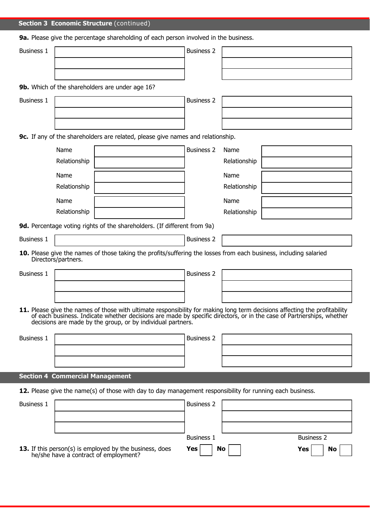## **Section 3 Economic Structure** (continued)

**9a.** Please give the percentage shareholding of each person involved in the business.

| <b>Business 1</b> |                                                                                                                                                                                                                                                                                                                   | <b>Business 2</b> |                   |    |
|-------------------|-------------------------------------------------------------------------------------------------------------------------------------------------------------------------------------------------------------------------------------------------------------------------------------------------------------------|-------------------|-------------------|----|
|                   |                                                                                                                                                                                                                                                                                                                   |                   |                   |    |
|                   |                                                                                                                                                                                                                                                                                                                   |                   |                   |    |
|                   | 9b. Which of the shareholders are under age 16?                                                                                                                                                                                                                                                                   |                   |                   |    |
| <b>Business 1</b> |                                                                                                                                                                                                                                                                                                                   | <b>Business 2</b> |                   |    |
|                   |                                                                                                                                                                                                                                                                                                                   |                   |                   |    |
|                   |                                                                                                                                                                                                                                                                                                                   |                   |                   |    |
|                   | 9c. If any of the shareholders are related, please give names and relationship.                                                                                                                                                                                                                                   |                   |                   |    |
|                   | Name                                                                                                                                                                                                                                                                                                              | <b>Business 2</b> | Name              |    |
|                   | Relationship                                                                                                                                                                                                                                                                                                      |                   | Relationship      |    |
|                   | Name                                                                                                                                                                                                                                                                                                              |                   | Name              |    |
|                   | Relationship                                                                                                                                                                                                                                                                                                      |                   | Relationship      |    |
|                   | Name                                                                                                                                                                                                                                                                                                              |                   | Name              |    |
|                   | Relationship                                                                                                                                                                                                                                                                                                      |                   | Relationship      |    |
|                   | 9d. Percentage voting rights of the shareholders. (If different from 9a)                                                                                                                                                                                                                                          |                   |                   |    |
| <b>Business 1</b> |                                                                                                                                                                                                                                                                                                                   | <b>Business 2</b> |                   |    |
|                   | 10. Please give the names of those taking the profits/suffering the losses from each business, including salaried<br>Directors/partners.                                                                                                                                                                          |                   |                   |    |
| <b>Business 1</b> |                                                                                                                                                                                                                                                                                                                   | <b>Business 2</b> |                   |    |
|                   |                                                                                                                                                                                                                                                                                                                   |                   |                   |    |
|                   |                                                                                                                                                                                                                                                                                                                   |                   |                   |    |
|                   | 11. Please give the names of those with ultimate responsibility for making long term decisions affecting the profitability<br>of each business. Indicate whether decisions are made by specific directors, or in the case of Partnerships, whether<br>decisions are made by the group, or by individual partners. |                   |                   |    |
| <b>Business 1</b> |                                                                                                                                                                                                                                                                                                                   | <b>Business 2</b> |                   |    |
|                   |                                                                                                                                                                                                                                                                                                                   |                   |                   |    |
|                   |                                                                                                                                                                                                                                                                                                                   |                   |                   |    |
|                   | <b>Section 4 Commercial Management</b>                                                                                                                                                                                                                                                                            |                   |                   |    |
|                   | 12. Please give the name(s) of those with day to day management responsibility for running each business.                                                                                                                                                                                                         |                   |                   |    |
| <b>Business 1</b> |                                                                                                                                                                                                                                                                                                                   | <b>Business 2</b> |                   |    |
|                   |                                                                                                                                                                                                                                                                                                                   |                   |                   |    |
|                   |                                                                                                                                                                                                                                                                                                                   |                   |                   |    |
|                   |                                                                                                                                                                                                                                                                                                                   | <b>Business 1</b> | <b>Business 2</b> |    |
|                   | 13. If this person(s) is employed by the business, does<br>he/she have a contract of employment?                                                                                                                                                                                                                  | Yes               | No<br>Yes         | No |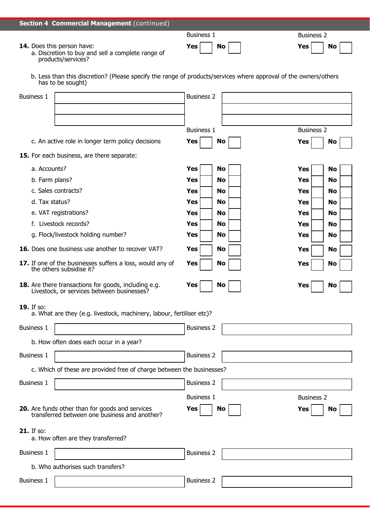## **Section 4 Commercial Management** (continued)

#### 14. Does this person have:

 a. Discretion to buy and sell a complete range of products/services?

| <b>Business 1</b>       | <b>Business 2</b> |
|-------------------------|-------------------|
| $Yes \mid \mid No \mid$ | Yes<br><b>No</b>  |

 b. Less than this discretion? (Please specify the range of products/services where approval of the owners/others has to be sought)

| <b>Business 2</b><br><b>Business 1</b><br>c. An active role in longer term policy decisions<br>No<br>Yes<br><b>Yes</b><br>No<br>15. For each business, are there separate:<br>a. Accounts?<br><b>Yes</b><br><b>No</b><br><b>Yes</b><br>No<br>b. Farm plans?<br>Yes<br>No<br>Yes<br>No<br>c. Sales contracts?<br><b>Yes</b><br>No<br><b>Yes</b><br>No<br>d. Tax status?<br><b>Yes</b><br>No<br>Yes<br>No<br>e. VAT registrations?<br>Yes<br>No<br>Yes<br>No<br>f. Livestock records?<br>Yes<br>No<br>Yes<br>No<br>g. Flock/livestock holding number?<br><b>Yes</b><br>No<br>Yes<br>No<br>16. Does one business use another to recover VAT?<br><b>Yes</b><br><b>No</b><br><b>Yes</b><br>No<br>17. If one of the businesses suffers a loss, would any of<br>Yes<br>No<br><b>Yes</b><br>No<br>the others subsidise it?<br>18. Are there transactions for goods, including e.g.<br>No<br>Yes<br>Yes<br>No<br>Livestock, or services between businesses?<br>19. If so:<br>a. What are they (e.g. livestock, machinery, labour, fertiliser etc)?<br><b>Business 2</b><br><b>Business 1</b><br>b. How often does each occur in a year?<br><b>Business 2</b><br><b>Business 1</b><br>c. Which of these are provided free of charge between the businesses?<br><b>Business 2</b><br><b>Business 1</b><br><b>Business 1</b><br><b>Business 2</b><br><b>20.</b> Are funds other than for goods and services<br>transferred between one business and another?<br>Yes<br>No<br>Yes<br>No<br><b>21.</b> If so:<br>a. How often are they transferred?<br><b>Business 2</b><br><b>Business 1</b><br>b. Who authorises such transfers? | <b>Business 1</b> | <b>Business 2</b> |  |
|----------------------------------------------------------------------------------------------------------------------------------------------------------------------------------------------------------------------------------------------------------------------------------------------------------------------------------------------------------------------------------------------------------------------------------------------------------------------------------------------------------------------------------------------------------------------------------------------------------------------------------------------------------------------------------------------------------------------------------------------------------------------------------------------------------------------------------------------------------------------------------------------------------------------------------------------------------------------------------------------------------------------------------------------------------------------------------------------------------------------------------------------------------------------------------------------------------------------------------------------------------------------------------------------------------------------------------------------------------------------------------------------------------------------------------------------------------------------------------------------------------------------------------------------------------------------------------------------------------------------|-------------------|-------------------|--|
|                                                                                                                                                                                                                                                                                                                                                                                                                                                                                                                                                                                                                                                                                                                                                                                                                                                                                                                                                                                                                                                                                                                                                                                                                                                                                                                                                                                                                                                                                                                                                                                                                      |                   |                   |  |
|                                                                                                                                                                                                                                                                                                                                                                                                                                                                                                                                                                                                                                                                                                                                                                                                                                                                                                                                                                                                                                                                                                                                                                                                                                                                                                                                                                                                                                                                                                                                                                                                                      |                   |                   |  |
|                                                                                                                                                                                                                                                                                                                                                                                                                                                                                                                                                                                                                                                                                                                                                                                                                                                                                                                                                                                                                                                                                                                                                                                                                                                                                                                                                                                                                                                                                                                                                                                                                      |                   |                   |  |
|                                                                                                                                                                                                                                                                                                                                                                                                                                                                                                                                                                                                                                                                                                                                                                                                                                                                                                                                                                                                                                                                                                                                                                                                                                                                                                                                                                                                                                                                                                                                                                                                                      |                   |                   |  |
|                                                                                                                                                                                                                                                                                                                                                                                                                                                                                                                                                                                                                                                                                                                                                                                                                                                                                                                                                                                                                                                                                                                                                                                                                                                                                                                                                                                                                                                                                                                                                                                                                      |                   |                   |  |
|                                                                                                                                                                                                                                                                                                                                                                                                                                                                                                                                                                                                                                                                                                                                                                                                                                                                                                                                                                                                                                                                                                                                                                                                                                                                                                                                                                                                                                                                                                                                                                                                                      |                   |                   |  |
|                                                                                                                                                                                                                                                                                                                                                                                                                                                                                                                                                                                                                                                                                                                                                                                                                                                                                                                                                                                                                                                                                                                                                                                                                                                                                                                                                                                                                                                                                                                                                                                                                      |                   |                   |  |
|                                                                                                                                                                                                                                                                                                                                                                                                                                                                                                                                                                                                                                                                                                                                                                                                                                                                                                                                                                                                                                                                                                                                                                                                                                                                                                                                                                                                                                                                                                                                                                                                                      |                   |                   |  |
|                                                                                                                                                                                                                                                                                                                                                                                                                                                                                                                                                                                                                                                                                                                                                                                                                                                                                                                                                                                                                                                                                                                                                                                                                                                                                                                                                                                                                                                                                                                                                                                                                      |                   |                   |  |
|                                                                                                                                                                                                                                                                                                                                                                                                                                                                                                                                                                                                                                                                                                                                                                                                                                                                                                                                                                                                                                                                                                                                                                                                                                                                                                                                                                                                                                                                                                                                                                                                                      |                   |                   |  |
|                                                                                                                                                                                                                                                                                                                                                                                                                                                                                                                                                                                                                                                                                                                                                                                                                                                                                                                                                                                                                                                                                                                                                                                                                                                                                                                                                                                                                                                                                                                                                                                                                      |                   |                   |  |
|                                                                                                                                                                                                                                                                                                                                                                                                                                                                                                                                                                                                                                                                                                                                                                                                                                                                                                                                                                                                                                                                                                                                                                                                                                                                                                                                                                                                                                                                                                                                                                                                                      |                   |                   |  |
|                                                                                                                                                                                                                                                                                                                                                                                                                                                                                                                                                                                                                                                                                                                                                                                                                                                                                                                                                                                                                                                                                                                                                                                                                                                                                                                                                                                                                                                                                                                                                                                                                      |                   |                   |  |
|                                                                                                                                                                                                                                                                                                                                                                                                                                                                                                                                                                                                                                                                                                                                                                                                                                                                                                                                                                                                                                                                                                                                                                                                                                                                                                                                                                                                                                                                                                                                                                                                                      |                   |                   |  |
|                                                                                                                                                                                                                                                                                                                                                                                                                                                                                                                                                                                                                                                                                                                                                                                                                                                                                                                                                                                                                                                                                                                                                                                                                                                                                                                                                                                                                                                                                                                                                                                                                      |                   |                   |  |
|                                                                                                                                                                                                                                                                                                                                                                                                                                                                                                                                                                                                                                                                                                                                                                                                                                                                                                                                                                                                                                                                                                                                                                                                                                                                                                                                                                                                                                                                                                                                                                                                                      |                   |                   |  |
|                                                                                                                                                                                                                                                                                                                                                                                                                                                                                                                                                                                                                                                                                                                                                                                                                                                                                                                                                                                                                                                                                                                                                                                                                                                                                                                                                                                                                                                                                                                                                                                                                      |                   |                   |  |
|                                                                                                                                                                                                                                                                                                                                                                                                                                                                                                                                                                                                                                                                                                                                                                                                                                                                                                                                                                                                                                                                                                                                                                                                                                                                                                                                                                                                                                                                                                                                                                                                                      |                   |                   |  |
|                                                                                                                                                                                                                                                                                                                                                                                                                                                                                                                                                                                                                                                                                                                                                                                                                                                                                                                                                                                                                                                                                                                                                                                                                                                                                                                                                                                                                                                                                                                                                                                                                      |                   |                   |  |
|                                                                                                                                                                                                                                                                                                                                                                                                                                                                                                                                                                                                                                                                                                                                                                                                                                                                                                                                                                                                                                                                                                                                                                                                                                                                                                                                                                                                                                                                                                                                                                                                                      |                   |                   |  |
|                                                                                                                                                                                                                                                                                                                                                                                                                                                                                                                                                                                                                                                                                                                                                                                                                                                                                                                                                                                                                                                                                                                                                                                                                                                                                                                                                                                                                                                                                                                                                                                                                      |                   |                   |  |
|                                                                                                                                                                                                                                                                                                                                                                                                                                                                                                                                                                                                                                                                                                                                                                                                                                                                                                                                                                                                                                                                                                                                                                                                                                                                                                                                                                                                                                                                                                                                                                                                                      |                   |                   |  |
|                                                                                                                                                                                                                                                                                                                                                                                                                                                                                                                                                                                                                                                                                                                                                                                                                                                                                                                                                                                                                                                                                                                                                                                                                                                                                                                                                                                                                                                                                                                                                                                                                      |                   |                   |  |
|                                                                                                                                                                                                                                                                                                                                                                                                                                                                                                                                                                                                                                                                                                                                                                                                                                                                                                                                                                                                                                                                                                                                                                                                                                                                                                                                                                                                                                                                                                                                                                                                                      |                   |                   |  |
|                                                                                                                                                                                                                                                                                                                                                                                                                                                                                                                                                                                                                                                                                                                                                                                                                                                                                                                                                                                                                                                                                                                                                                                                                                                                                                                                                                                                                                                                                                                                                                                                                      |                   |                   |  |
|                                                                                                                                                                                                                                                                                                                                                                                                                                                                                                                                                                                                                                                                                                                                                                                                                                                                                                                                                                                                                                                                                                                                                                                                                                                                                                                                                                                                                                                                                                                                                                                                                      | <b>Business 1</b> | <b>Business 2</b> |  |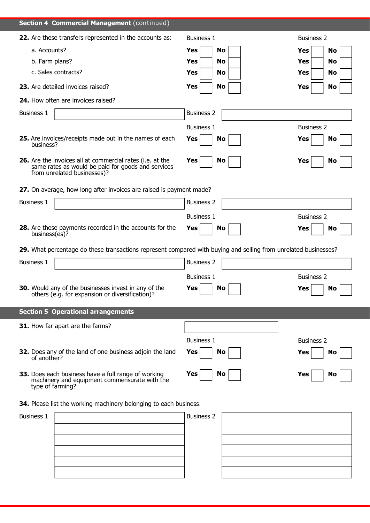| <b>Section 4 Commercial Management</b> (continued)                                                                                                    |                         |                         |
|-------------------------------------------------------------------------------------------------------------------------------------------------------|-------------------------|-------------------------|
| 22. Are these transfers represented in the accounts as:                                                                                               | <b>Business 1</b>       | <b>Business 2</b>       |
| a. Accounts?                                                                                                                                          | <b>Yes</b><br><b>No</b> | <b>Yes</b><br><b>No</b> |
| b. Farm plans?                                                                                                                                        | Yes<br>No               | Yes<br>No               |
| c. Sales contracts?                                                                                                                                   | Yes<br>No               | Yes<br>No               |
| 23. Are detailed invoices raised?                                                                                                                     | <b>Yes</b><br><b>No</b> | <b>Yes</b><br>No        |
| 24. How often are invoices raised?                                                                                                                    |                         |                         |
| <b>Business 1</b>                                                                                                                                     | <b>Business 2</b>       |                         |
|                                                                                                                                                       | <b>Business 1</b>       | <b>Business 2</b>       |
| 25. Are invoices/receipts made out in the names of each<br>business?                                                                                  | Yes<br>No               | Yes<br><b>No</b>        |
| <b>26.</b> Are the invoices all at commercial rates (i.e. at the<br>same rates as would be paid for goods and services<br>from unrelated businesses)? | Yes<br>No               | Yes<br>No               |
| 27. On average, how long after invoices are raised is payment made?                                                                                   |                         |                         |
| <b>Business 1</b>                                                                                                                                     | <b>Business 2</b>       |                         |
|                                                                                                                                                       | <b>Business 1</b>       | <b>Business 2</b>       |
| 28. Are these payments recorded in the accounts for the<br>business(es)?                                                                              | Yes<br>No               | No<br>Yes               |
| 29. What percentage do these transactions represent compared with buying and selling from unrelated businesses?                                       |                         |                         |
| <b>Business 1</b>                                                                                                                                     | <b>Business 2</b>       |                         |
|                                                                                                                                                       | <b>Business 1</b>       | <b>Business 2</b>       |
| 30. Would any of the businesses invest in any of the<br>others (e.g. for expansion or diversification)?                                               | Yes<br>No               | No<br>Yes               |
| <b>Section 5 Operational arrangements</b>                                                                                                             |                         |                         |
| 31. How far apart are the farms?                                                                                                                      |                         |                         |
|                                                                                                                                                       | <b>Business 1</b>       | <b>Business 2</b>       |
| 32. Does any of the land of one business adjoin the land<br>of another?                                                                               | Yes<br>No               | Yes<br>No               |
| 33. Does each business have a full range of working<br>machinery and equipment commensurate with the<br>type of farming?                              | Yes<br>No               | <b>Yes</b><br>No        |
| 34. Please list the working machinery belonging to each business.                                                                                     |                         |                         |
| <b>Business 1</b>                                                                                                                                     | <b>Business 2</b>       |                         |
|                                                                                                                                                       |                         |                         |
|                                                                                                                                                       |                         |                         |
|                                                                                                                                                       |                         |                         |
|                                                                                                                                                       |                         |                         |
|                                                                                                                                                       |                         |                         |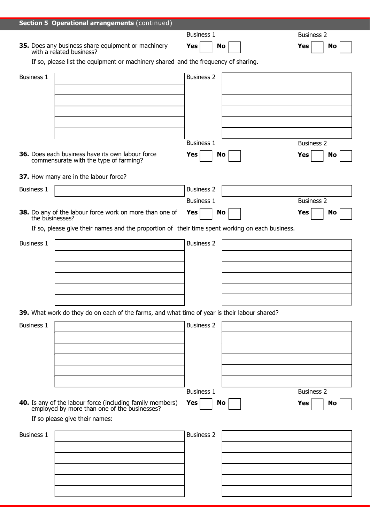|                                                                                    | Section 5 Operational arrangements (continued)                                                                |                   |  |                   |  |
|------------------------------------------------------------------------------------|---------------------------------------------------------------------------------------------------------------|-------------------|--|-------------------|--|
|                                                                                    |                                                                                                               | <b>Business 1</b> |  | <b>Business 2</b> |  |
|                                                                                    | <b>35.</b> Does any business share equipment or machinery with a related business?                            | Yes<br>No         |  | <b>Yes</b><br>No  |  |
| If so, please list the equipment or machinery shared and the frequency of sharing. |                                                                                                               |                   |  |                   |  |
| <b>Business 2</b>                                                                  |                                                                                                               |                   |  |                   |  |
| <b>Business 1</b>                                                                  |                                                                                                               |                   |  |                   |  |
|                                                                                    |                                                                                                               |                   |  |                   |  |
|                                                                                    |                                                                                                               |                   |  |                   |  |
|                                                                                    |                                                                                                               |                   |  |                   |  |
|                                                                                    |                                                                                                               |                   |  |                   |  |
|                                                                                    |                                                                                                               | <b>Business 1</b> |  | <b>Business 2</b> |  |
|                                                                                    | 36. Does each business have its own labour force<br>commensurate with the type of farming?                    | Yes<br>No         |  | <b>Yes</b><br>No  |  |
|                                                                                    | 37. How many are in the labour force?                                                                         |                   |  |                   |  |
| <b>Business 1</b>                                                                  |                                                                                                               | <b>Business 2</b> |  |                   |  |
|                                                                                    |                                                                                                               | <b>Business 1</b> |  | <b>Business 2</b> |  |
|                                                                                    | 38. Do any of the labour force work on more than one of the businesses?                                       | Yes<br><b>No</b>  |  | Yes<br>No         |  |
|                                                                                    | If so, please give their names and the proportion of their time spent working on each business.               |                   |  |                   |  |
| <b>Business 1</b>                                                                  |                                                                                                               | <b>Business 2</b> |  |                   |  |
|                                                                                    |                                                                                                               |                   |  |                   |  |
|                                                                                    |                                                                                                               |                   |  |                   |  |
|                                                                                    |                                                                                                               |                   |  |                   |  |
|                                                                                    |                                                                                                               |                   |  |                   |  |
|                                                                                    |                                                                                                               |                   |  |                   |  |
|                                                                                    | 39. What work do they do on each of the farms, and what time of year is their labour shared?                  |                   |  |                   |  |
| <b>Business 1</b>                                                                  |                                                                                                               | <b>Business 2</b> |  |                   |  |
|                                                                                    |                                                                                                               |                   |  |                   |  |
|                                                                                    |                                                                                                               |                   |  |                   |  |
|                                                                                    |                                                                                                               |                   |  |                   |  |
|                                                                                    |                                                                                                               |                   |  |                   |  |
|                                                                                    |                                                                                                               | <b>Business 1</b> |  | <b>Business 2</b> |  |
|                                                                                    | <b>40.</b> Is any of the labour force (including family members) employed by more than one of the businesses? | Yes<br>No         |  | Yes<br>No         |  |
|                                                                                    | If so please give their names:                                                                                |                   |  |                   |  |
| <b>Business 1</b>                                                                  |                                                                                                               | <b>Business 2</b> |  |                   |  |
|                                                                                    |                                                                                                               |                   |  |                   |  |
|                                                                                    |                                                                                                               |                   |  |                   |  |
|                                                                                    |                                                                                                               |                   |  |                   |  |
|                                                                                    |                                                                                                               |                   |  |                   |  |
|                                                                                    |                                                                                                               |                   |  |                   |  |
|                                                                                    |                                                                                                               |                   |  |                   |  |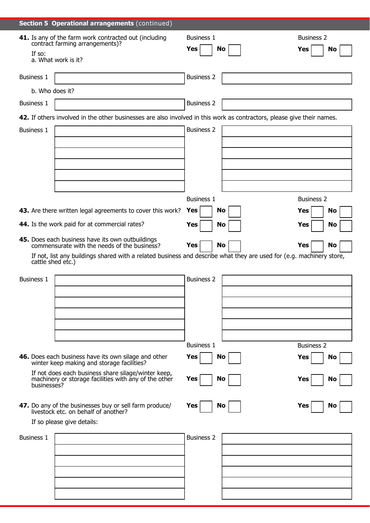|                   | 41. Is any of the farm work contracted out (including                                                                               | <b>Business 1</b>       | <b>Business 2</b> |
|-------------------|-------------------------------------------------------------------------------------------------------------------------------------|-------------------------|-------------------|
| If so:            | contract farming arrangements)?                                                                                                     | Yes<br>No               | <b>Yes</b><br>No  |
|                   | a. What work is it?                                                                                                                 |                         |                   |
|                   |                                                                                                                                     |                         |                   |
| <b>Business 1</b> |                                                                                                                                     | <b>Business 2</b>       |                   |
|                   | b. Who does it?                                                                                                                     |                         |                   |
| <b>Business 1</b> |                                                                                                                                     | <b>Business 2</b>       |                   |
|                   | 42. If others involved in the other businesses are also involved in this work as contractors, please give their names.              |                         |                   |
| <b>Business 1</b> |                                                                                                                                     | <b>Business 2</b>       |                   |
|                   |                                                                                                                                     |                         |                   |
|                   |                                                                                                                                     |                         |                   |
|                   |                                                                                                                                     |                         |                   |
|                   |                                                                                                                                     |                         |                   |
|                   |                                                                                                                                     |                         |                   |
|                   |                                                                                                                                     | <b>Business 1</b>       | <b>Business 2</b> |
|                   | 43. Are there written legal agreements to cover this work?                                                                          | <b>Yes</b><br><b>No</b> | <b>No</b><br>Yes  |
|                   | 44. Is the work paid for at commercial rates?                                                                                       | <b>Yes</b><br>No        | Yes<br>No         |
|                   |                                                                                                                                     |                         |                   |
|                   | 45. Does each business have its own outbuildings                                                                                    | Yes<br>No               | Yes<br><b>No</b>  |
|                   | commensurate with the needs of the business?                                                                                        |                         |                   |
|                   | If not, list any buildings shared with a related business and describe what they are used for (e.g. machinery store,                |                         |                   |
|                   | cattle shed etc.)                                                                                                                   |                         |                   |
| <b>Business 1</b> |                                                                                                                                     | <b>Business 2</b>       |                   |
|                   |                                                                                                                                     |                         |                   |
|                   |                                                                                                                                     |                         |                   |
|                   |                                                                                                                                     |                         |                   |
|                   |                                                                                                                                     |                         |                   |
|                   |                                                                                                                                     |                         |                   |
|                   |                                                                                                                                     | <b>Business 1</b>       | <b>Business 2</b> |
|                   | 46. Does each business have its own silage and other<br>winter keep making and storage facilities?                                  | Yes<br>No               | Yes<br>No         |
| businesses?       | If not does each business share silage/winter keep,<br>machinery or storage facilities with any of the other                        | Yes<br>No               | Yes<br>No         |
|                   |                                                                                                                                     | Yes<br><b>No</b>        | Yes<br>No         |
|                   | <b>47.</b> Do any of the businesses buy or sell farm produce/<br>livestock etc. on behalf of another?<br>If so please give details: |                         |                   |
|                   |                                                                                                                                     |                         |                   |
| <b>Business 1</b> |                                                                                                                                     | <b>Business 2</b>       |                   |
|                   |                                                                                                                                     |                         |                   |
|                   |                                                                                                                                     |                         |                   |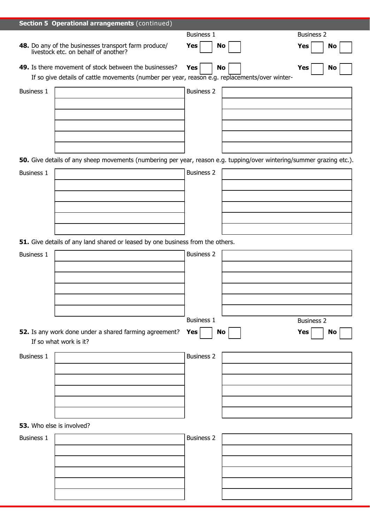|                           | <b>Section 5 Operational arrangements (continued)</b>                                                                 |                   |    |                   |
|---------------------------|-----------------------------------------------------------------------------------------------------------------------|-------------------|----|-------------------|
|                           |                                                                                                                       | <b>Business 1</b> |    | <b>Business 2</b> |
|                           | <b>48.</b> Do any of the businesses transport farm produce/<br>livestock etc. on behalf of another?                   | Yes<br>No         |    | <b>Yes</b><br>No  |
|                           | 49. Is there movement of stock between the businesses?                                                                | Yes<br><b>No</b>  |    | <b>Yes</b><br>No  |
|                           | If so give details of cattle movements (number per year, reason e.g. replacements/over winter-                        |                   |    |                   |
| <b>Business 1</b>         |                                                                                                                       | <b>Business 2</b> |    |                   |
|                           |                                                                                                                       |                   |    |                   |
|                           |                                                                                                                       |                   |    |                   |
|                           |                                                                                                                       |                   |    |                   |
|                           |                                                                                                                       |                   |    |                   |
|                           |                                                                                                                       |                   |    |                   |
|                           | 50. Give details of any sheep movements (numbering per year, reason e.g. tupping/over wintering/summer grazing etc.). |                   |    |                   |
| <b>Business 1</b>         |                                                                                                                       | <b>Business 2</b> |    |                   |
|                           |                                                                                                                       |                   |    |                   |
|                           |                                                                                                                       |                   |    |                   |
|                           |                                                                                                                       |                   |    |                   |
|                           |                                                                                                                       |                   |    |                   |
|                           |                                                                                                                       |                   |    |                   |
|                           | 51. Give details of any land shared or leased by one business from the others.                                        |                   |    |                   |
| <b>Business 1</b>         |                                                                                                                       | <b>Business 2</b> |    |                   |
|                           |                                                                                                                       |                   |    |                   |
|                           |                                                                                                                       |                   |    |                   |
|                           |                                                                                                                       |                   |    |                   |
|                           |                                                                                                                       |                   |    |                   |
|                           |                                                                                                                       |                   |    |                   |
|                           |                                                                                                                       | <b>Business 1</b> |    | <b>Business 2</b> |
|                           | 52. Is any work done under a shared farming agreement?                                                                | Yes               | No | <b>Yes</b><br>No  |
|                           | If so what work is it?                                                                                                |                   |    |                   |
| <b>Business 1</b>         |                                                                                                                       | <b>Business 2</b> |    |                   |
|                           |                                                                                                                       |                   |    |                   |
|                           |                                                                                                                       |                   |    |                   |
|                           |                                                                                                                       |                   |    |                   |
|                           |                                                                                                                       |                   |    |                   |
|                           |                                                                                                                       |                   |    |                   |
| 53. Who else is involved? |                                                                                                                       |                   |    |                   |
| <b>Business 1</b>         |                                                                                                                       | <b>Business 2</b> |    |                   |
|                           |                                                                                                                       |                   |    |                   |
|                           |                                                                                                                       |                   |    |                   |
|                           |                                                                                                                       |                   |    |                   |
|                           |                                                                                                                       |                   |    |                   |
|                           |                                                                                                                       |                   |    |                   |
|                           |                                                                                                                       |                   |    |                   |